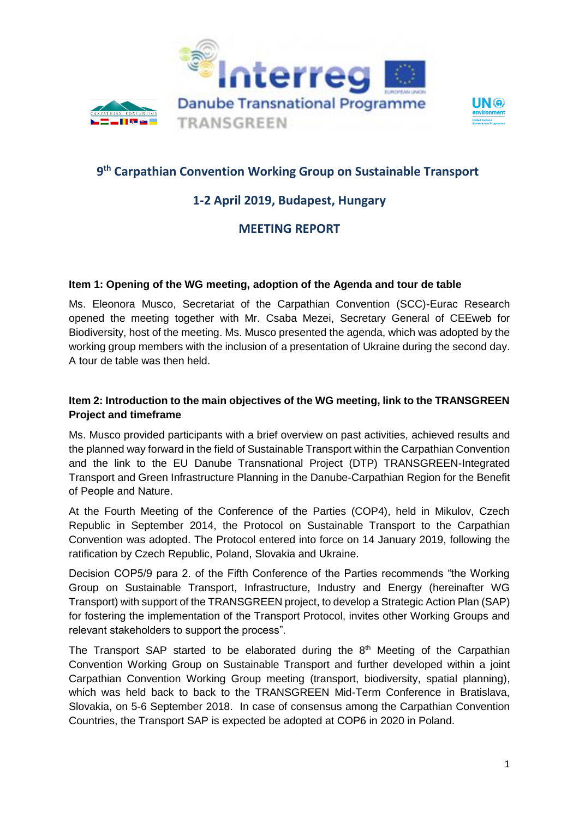





# **9 th Carpathian Convention Working Group on Sustainable Transport**

### **1-2 April 2019, Budapest, Hungary**

## **MEETING REPORT**

#### **Item 1: Opening of the WG meeting, adoption of the Agenda and tour de table**

Ms. Eleonora Musco, Secretariat of the Carpathian Convention (SCC)-Eurac Research opened the meeting together with Mr. Csaba Mezei, Secretary General of CEEweb for Biodiversity, host of the meeting. Ms. Musco presented the agenda, which was adopted by the working group members with the inclusion of a presentation of Ukraine during the second day. A tour de table was then held.

### **Item 2: Introduction to the main objectives of the WG meeting, link to the TRANSGREEN Project and timeframe**

Ms. Musco provided participants with a brief overview on past activities, achieved results and the planned way forward in the field of Sustainable Transport within the Carpathian Convention and the link to the EU Danube Transnational Project (DTP) TRANSGREEN-Integrated Transport and Green Infrastructure Planning in the Danube-Carpathian Region for the Benefit of People and Nature.

At the Fourth Meeting of the Conference of the Parties (COP4), held in Mikulov, Czech Republic in September 2014, the Protocol on Sustainable Transport to the Carpathian Convention was adopted. The Protocol entered into force on 14 January 2019, following the ratification by Czech Republic, Poland, Slovakia and Ukraine.

Decision COP5/9 para 2. of the Fifth Conference of the Parties recommends "the Working Group on Sustainable Transport, Infrastructure, Industry and Energy (hereinafter WG Transport) with support of the TRANSGREEN project, to develop a Strategic Action Plan (SAP) for fostering the implementation of the Transport Protocol, invites other Working Groups and relevant stakeholders to support the process".

The Transport SAP started to be elaborated during the  $8<sup>th</sup>$  Meeting of the Carpathian Convention Working Group on Sustainable Transport and further developed within a joint Carpathian Convention Working Group meeting (transport, biodiversity, spatial planning), which was held back to back to the TRANSGREEN Mid-Term Conference in Bratislava, Slovakia, on 5-6 September 2018. In case of consensus among the Carpathian Convention Countries, the Transport SAP is expected be adopted at COP6 in 2020 in Poland.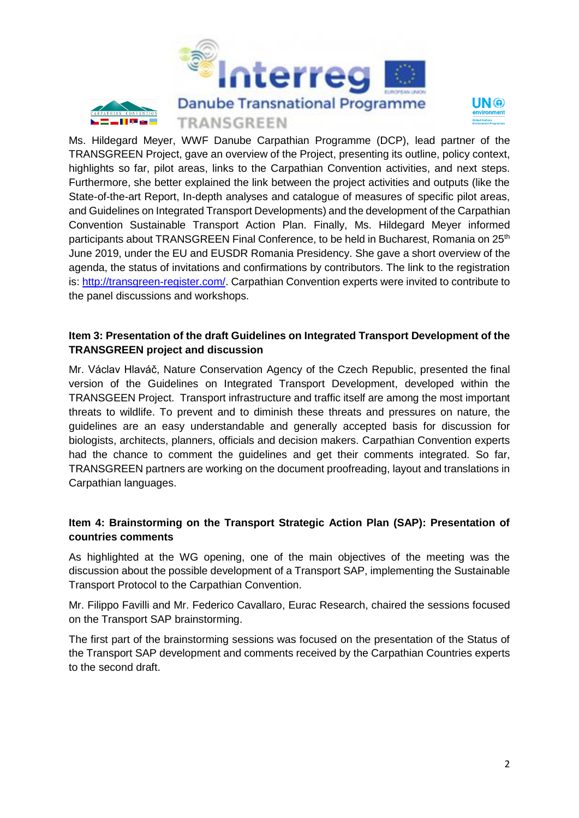



 $\overline{a}$ Ms. Hildegard Meyer, WWF Danube Carpathian Programme (DCP), lead partner of the TRANSGREEN Project, gave an overview of the Project, presenting its outline, policy context, highlights so far, pilot areas, links to the Carpathian Convention activities, and next steps. Furthermore, she better explained the link between the project activities and outputs (like the State-of-the-art Report, In-depth analyses and catalogue of measures of specific pilot areas, and Guidelines on Integrated Transport Developments) and the development of the Carpathian Convention Sustainable Transport Action Plan. Finally, Ms. Hildegard Meyer informed participants about TRANSGREEN Final Conference, to be held in Bucharest, Romania on 25<sup>th</sup> June 2019, under the EU and EUSDR Romania Presidency. She gave a short overview of the agenda, the status of invitations and confirmations by contributors. The link to the registration is: [http://transgreen-register.com/.](http://transgreen-register.com/) Carpathian Convention experts were invited to contribute to the panel discussions and workshops.

#### **Item 3: Presentation of the draft Guidelines on Integrated Transport Development of the TRANSGREEN project and discussion**

Mr. Václav Hlaváč, Nature Conservation Agency of the Czech Republic, presented the final version of the Guidelines on Integrated Transport Development, developed within the TRANSGEEN Project. Transport infrastructure and traffic itself are among the most important threats to wildlife. To prevent and to diminish these threats and pressures on nature, the guidelines are an easy understandable and generally accepted basis for discussion for biologists, architects, planners, officials and decision makers. Carpathian Convention experts had the chance to comment the guidelines and get their comments integrated. So far, TRANSGREEN partners are working on the document proofreading, layout and translations in Carpathian languages.

#### **Item 4: Brainstorming on the Transport Strategic Action Plan (SAP): Presentation of countries comments**

As highlighted at the WG opening, one of the main objectives of the meeting was the discussion about the possible development of a Transport SAP, implementing the Sustainable Transport Protocol to the Carpathian Convention.

Mr. Filippo Favilli and Mr. Federico Cavallaro, Eurac Research, chaired the sessions focused on the Transport SAP brainstorming.

The first part of the brainstorming sessions was focused on the presentation of the Status of the Transport SAP development and comments received by the Carpathian Countries experts to the second draft.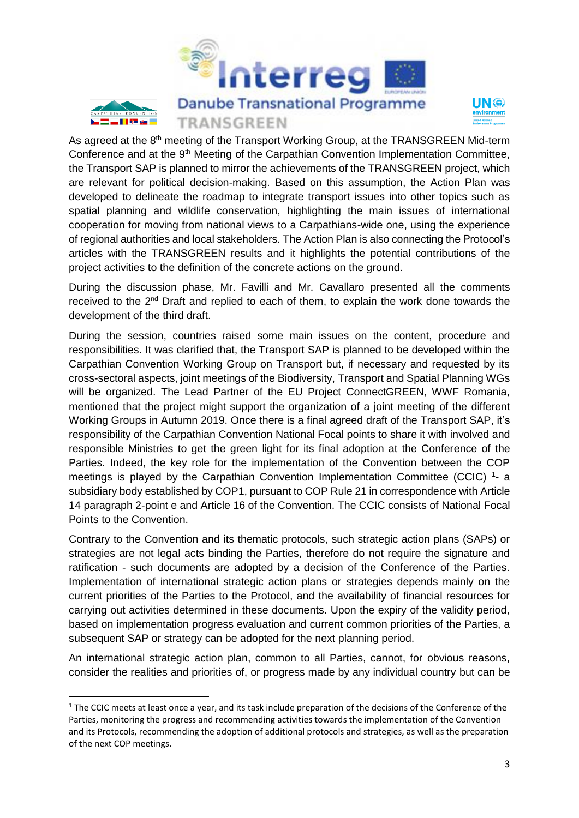



As agreed at the 8<sup>th</sup> meeting of the Transport Working Group, at the TRANSGREEN Mid-term Conference and at the 9<sup>th</sup> Meeting of the Carpathian Convention Implementation Committee, the Transport SAP is planned to mirror the achievements of the TRANSGREEN project, which are relevant for political decision-making. Based on this assumption, the Action Plan was developed to delineate the roadmap to integrate transport issues into other topics such as spatial planning and wildlife conservation, highlighting the main issues of international cooperation for moving from national views to a Carpathians-wide one, using the experience of regional authorities and local stakeholders. The Action Plan is also connecting the Protocol's articles with the TRANSGREEN results and it highlights the potential contributions of the project activities to the definition of the concrete actions on the ground.

During the discussion phase, Mr. Favilli and Mr. Cavallaro presented all the comments received to the 2<sup>nd</sup> Draft and replied to each of them, to explain the work done towards the development of the third draft.

During the session, countries raised some main issues on the content, procedure and responsibilities. It was clarified that, the Transport SAP is planned to be developed within the Carpathian Convention Working Group on Transport but, if necessary and requested by its cross-sectoral aspects, joint meetings of the Biodiversity, Transport and Spatial Planning WGs will be organized. The Lead Partner of the EU Project ConnectGREEN, WWF Romania, mentioned that the project might support the organization of a joint meeting of the different Working Groups in Autumn 2019. Once there is a final agreed draft of the Transport SAP, it's responsibility of the Carpathian Convention National Focal points to share it with involved and responsible Ministries to get the green light for its final adoption at the Conference of the Parties. Indeed, the key role for the implementation of the Convention between the COP meetings is played by the Carpathian Convention Implementation Committee (CCIC)<sup>1</sup>- a subsidiary body established by COP1, pursuant to COP Rule 21 in correspondence with Article 14 paragraph 2-point e and Article 16 of the Convention. The CCIC consists of National Focal Points to the Convention.

Contrary to the Convention and its thematic protocols, such strategic action plans (SAPs) or strategies are not legal acts binding the Parties, therefore do not require the signature and ratification - such documents are adopted by a decision of the Conference of the Parties. Implementation of international strategic action plans or strategies depends mainly on the current priorities of the Parties to the Protocol, and the availability of financial resources for carrying out activities determined in these documents. Upon the expiry of the validity period, based on implementation progress evaluation and current common priorities of the Parties, a subsequent SAP or strategy can be adopted for the next planning period.

An international strategic action plan, common to all Parties, cannot, for obvious reasons, consider the realities and priorities of, or progress made by any individual country but can be

**.** 

 $1$  The CCIC meets at least once a year, and its task include preparation of the decisions of the Conference of the Parties, monitoring the progress and recommending activities towards the implementation of the Convention and its Protocols, recommending the adoption of additional protocols and strategies, as well as the preparation of the next COP meetings.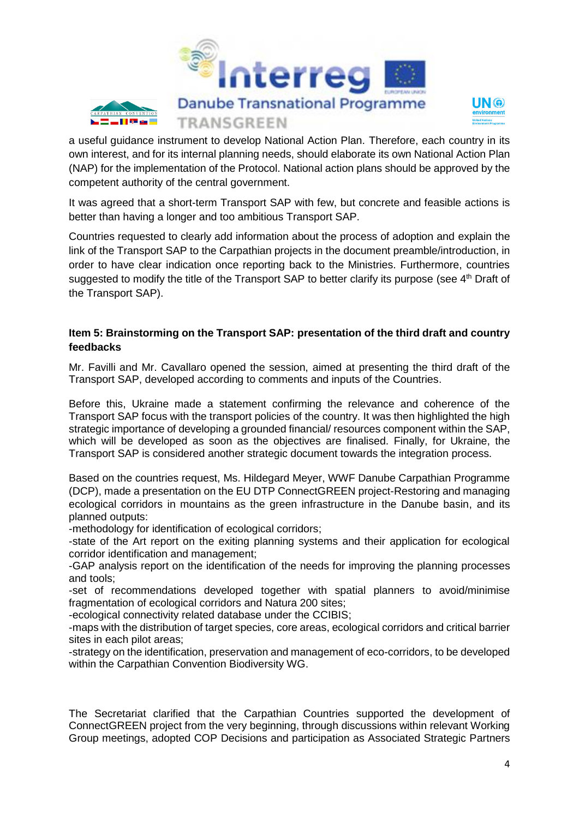



a useful guidance instrument to develop National Action Plan. Therefore, each country in its own interest, and for its internal planning needs, should elaborate its own National Action Plan (NAP) for the implementation of the Protocol. National action plans should be approved by the competent authority of the central government.

It was agreed that a short-term Transport SAP with few, but concrete and feasible actions is better than having a longer and too ambitious Transport SAP.

Countries requested to clearly add information about the process of adoption and explain the link of the Transport SAP to the Carpathian projects in the document preamble/introduction, in order to have clear indication once reporting back to the Ministries. Furthermore, countries suggested to modify the title of the Transport SAP to better clarify its purpose (see 4<sup>th</sup> Draft of the Transport SAP).

#### **Item 5: Brainstorming on the Transport SAP: presentation of the third draft and country feedbacks**

Mr. Favilli and Mr. Cavallaro opened the session, aimed at presenting the third draft of the Transport SAP, developed according to comments and inputs of the Countries.

Before this, Ukraine made a statement confirming the relevance and coherence of the Transport SAP focus with the transport policies of the country. It was then highlighted the high strategic importance of developing a grounded financial/ resources component within the SAP, which will be developed as soon as the objectives are finalised. Finally, for Ukraine, the Transport SAP is considered another strategic document towards the integration process.

Based on the countries request, Ms. Hildegard Meyer, WWF Danube Carpathian Programme (DCP), made a presentation on the EU DTP ConnectGREEN project-Restoring and managing ecological corridors in mountains as the green infrastructure in the Danube basin, and its planned outputs:

-methodology for identification of ecological corridors;

-state of the Art report on the exiting planning systems and their application for ecological corridor identification and management;

-GAP analysis report on the identification of the needs for improving the planning processes and tools;

-set of recommendations developed together with spatial planners to avoid/minimise fragmentation of ecological corridors and Natura 200 sites;

-ecological connectivity related database under the CCIBIS;

-maps with the distribution of target species, core areas, ecological corridors and critical barrier sites in each pilot areas;

-strategy on the identification, preservation and management of eco-corridors, to be developed within the Carpathian Convention Biodiversity WG.

The Secretariat clarified that the Carpathian Countries supported the development of ConnectGREEN project from the very beginning, through discussions within relevant Working Group meetings, adopted COP Decisions and participation as Associated Strategic Partners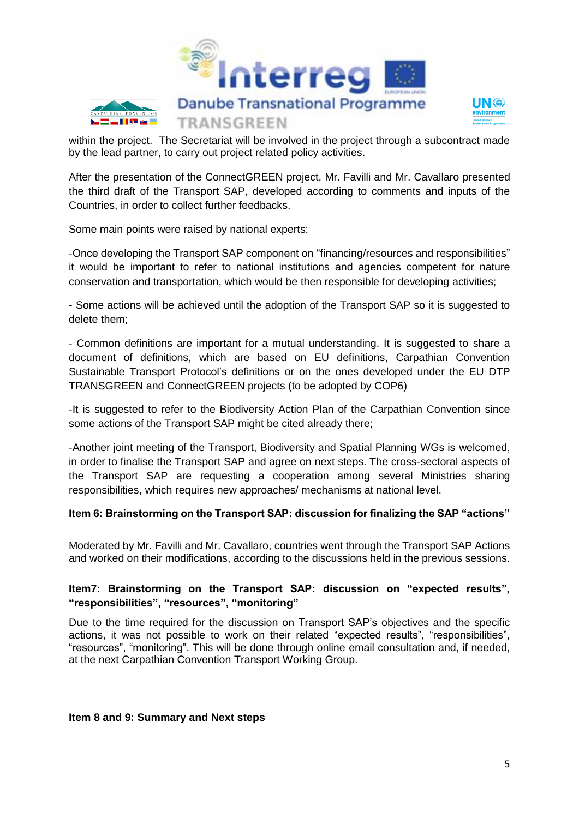



within the project. The Secretariat will be involved in the project through a subcontract made by the lead partner, to carry out project related policy activities.

After the presentation of the ConnectGREEN project, Mr. Favilli and Mr. Cavallaro presented the third draft of the Transport SAP, developed according to comments and inputs of the Countries, in order to collect further feedbacks.

Some main points were raised by national experts:

-Once developing the Transport SAP component on "financing/resources and responsibilities" it would be important to refer to national institutions and agencies competent for nature conservation and transportation, which would be then responsible for developing activities;

- Some actions will be achieved until the adoption of the Transport SAP so it is suggested to delete them;

- Common definitions are important for a mutual understanding. It is suggested to share a document of definitions, which are based on EU definitions, Carpathian Convention Sustainable Transport Protocol's definitions or on the ones developed under the EU DTP TRANSGREEN and ConnectGREEN projects (to be adopted by COP6)

-It is suggested to refer to the Biodiversity Action Plan of the Carpathian Convention since some actions of the Transport SAP might be cited already there;

-Another joint meeting of the Transport, Biodiversity and Spatial Planning WGs is welcomed, in order to finalise the Transport SAP and agree on next steps. The cross-sectoral aspects of the Transport SAP are requesting a cooperation among several Ministries sharing responsibilities, which requires new approaches/ mechanisms at national level.

#### **Item 6: Brainstorming on the Transport SAP: discussion for finalizing the SAP "actions"**

Moderated by Mr. Favilli and Mr. Cavallaro, countries went through the Transport SAP Actions and worked on their modifications, according to the discussions held in the previous sessions.

#### **Item7: Brainstorming on the Transport SAP: discussion on "expected results", "responsibilities", "resources", "monitoring"**

Due to the time required for the discussion on Transport SAP's objectives and the specific actions, it was not possible to work on their related "expected results", "responsibilities", "resources", "monitoring". This will be done through online email consultation and, if needed, at the next Carpathian Convention Transport Working Group.

**Item 8 and 9: Summary and Next steps**